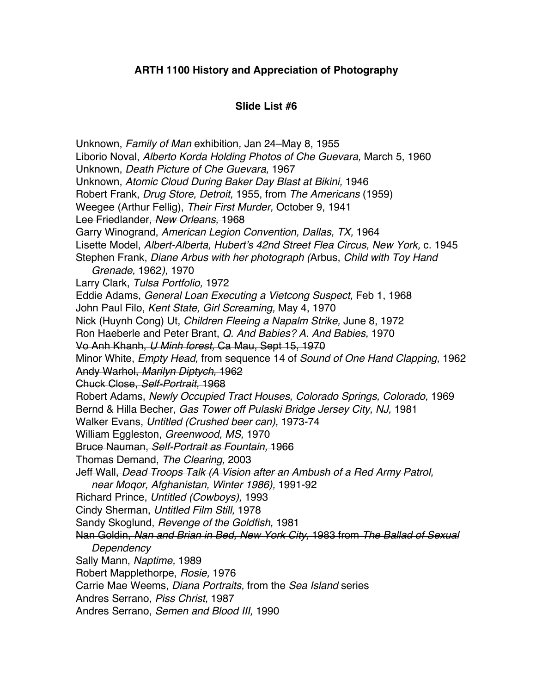## **ARTH 1100 History and Appreciation of Photography**

## **Slide List #6**

Unknown, *Family of Man* exhibition*,* Jan 24–May 8, 1955 Liborio Noval, *Alberto Korda Holding Photos of Che Guevara,* March 5, 1960 Unknown, *Death Picture of Che Guevara,* 1967 Unknown, *Atomic Cloud During Baker Day Blast at Bikini,* 1946 Robert Frank, *Drug Store, Detroit,* 1955, from *The Americans* (1959) Weegee (Arthur Fellig), *Their First Murder,* October 9, 1941 Lee Friedlander, *New Orleans,* 1968 Garry Winogrand, *American Legion Convention, Dallas, TX,* 1964 Lisette Model, *Albert-Alberta, Hubert*'*s 42nd Street Flea Circus, New York,* c. 1945 Stephen Frank, *Diane Arbus with her photograph (*Arbus, *Child with Toy Hand Grenade,* 1962*),* 1970 Larry Clark, *Tulsa Portfolio,* 1972 Eddie Adams, *General Loan Executing a Vietcong Suspect,* Feb 1, 1968 John Paul Filo, *Kent State, Girl Screaming,* May 4, 1970 Nick (Huynh Cong) Ut, *Children Fleeing a Napalm Strike,* June 8, 1972 Ron Haeberle and Peter Brant, *Q. And Babies? A. And Babies,* 1970 Vo Anh Khanh, *U Minh forest,* Ca Mau, Sept 15, 1970 Minor White, *Empty Head,* from sequence 14 of *Sound of One Hand Clapping,* 1962 Andy Warhol, *Marilyn Diptych,* 1962 Chuck Close, *Self-Portrait,* 1968 Robert Adams, *Newly Occupied Tract Houses, Colorado Springs, Colorado,* 1969 Bernd & Hilla Becher, *Gas Tower off Pulaski Bridge Jersey City, NJ,* 1981 Walker Evans, *Untitled (Crushed beer can),* 1973-74 William Eggleston, *Greenwood, MS,* 1970 Bruce Nauman, *Self-Portrait as Fountain,* 1966 Thomas Demand, *The Clearing,* 2003 Jeff Wall, *Dead Troops Talk (A Vision after an Ambush of a Red Army Patrol, near Moqor, Afghanistan, Winter 1986),* 1991-92 Richard Prince, *Untitled (Cowboys),* 1993 Cindy Sherman, *Untitled Film Still,* 1978 Sandy Skoglund, *Revenge of the Goldfish,* 1981 Nan Goldin, *Nan and Brian in Bed, New York City,* 1983 from *The Ballad of Sexual Dependency*  Sally Mann, *Naptime,* 1989 Robert Mapplethorpe, *Rosie,* 1976 Carrie Mae Weems, *Diana Portraits,* from the *Sea Island* series Andres Serrano, *Piss Christ,* 1987 Andres Serrano, *Semen and Blood III,* 1990